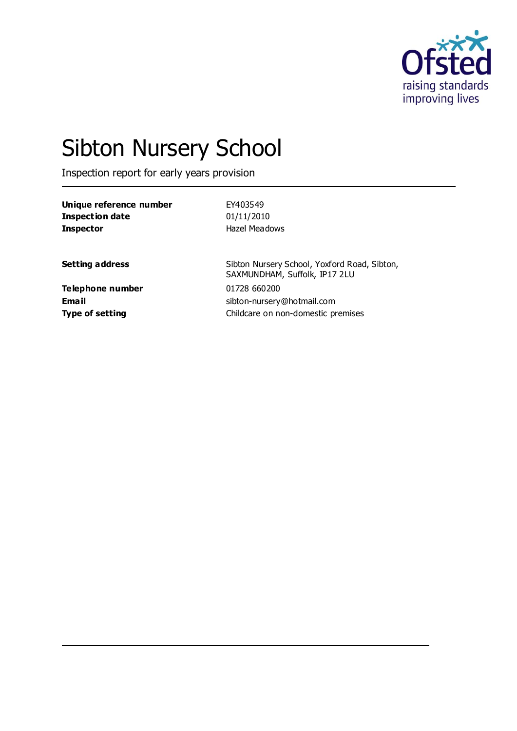

# Sibton Nursery School

Inspection report for early years provision

| Unique reference number | EY403549                                                                      |  |  |
|-------------------------|-------------------------------------------------------------------------------|--|--|
| <b>Inspection date</b>  | 01/11/2010                                                                    |  |  |
| <b>Inspector</b>        | Hazel Meadows                                                                 |  |  |
|                         |                                                                               |  |  |
| <b>Setting address</b>  | Sibton Nursery School, Yoxford Road, Sibton,<br>SAXMUNDHAM, Suffolk, IP17 2LU |  |  |
| Telephone number        | 01728 660200                                                                  |  |  |
| Email                   | sibton-nursery@hotmail.com                                                    |  |  |
| <b>Type of setting</b>  | Childcare on non-domestic premises                                            |  |  |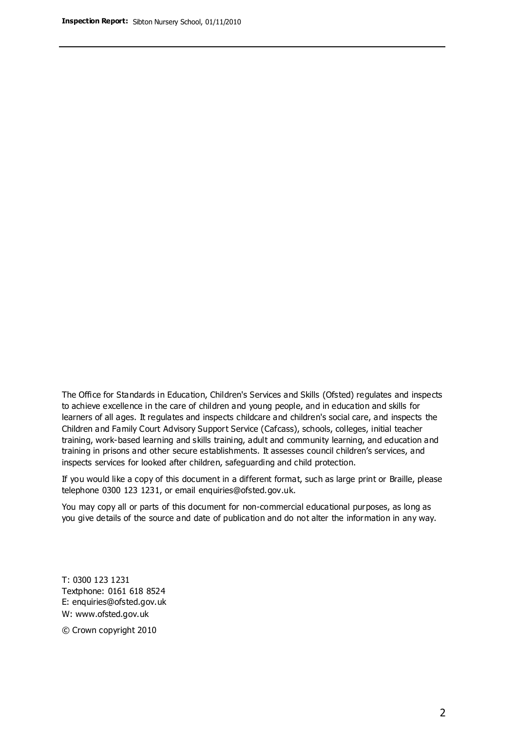The Office for Standards in Education, Children's Services and Skills (Ofsted) regulates and inspects to achieve excellence in the care of children and young people, and in education and skills for learners of all ages. It regulates and inspects childcare and children's social care, and inspects the Children and Family Court Advisory Support Service (Cafcass), schools, colleges, initial teacher training, work-based learning and skills training, adult and community learning, and education and training in prisons and other secure establishments. It assesses council children's services, and inspects services for looked after children, safeguarding and child protection.

If you would like a copy of this document in a different format, such as large print or Braille, please telephone 0300 123 1231, or email enquiries@ofsted.gov.uk.

You may copy all or parts of this document for non-commercial educational purposes, as long as you give details of the source and date of publication and do not alter the information in any way.

T: 0300 123 1231 Textphone: 0161 618 8524 E: enquiries@ofsted.gov.uk W: [www.ofsted.gov.uk](http://www.ofsted.gov.uk/)

© Crown copyright 2010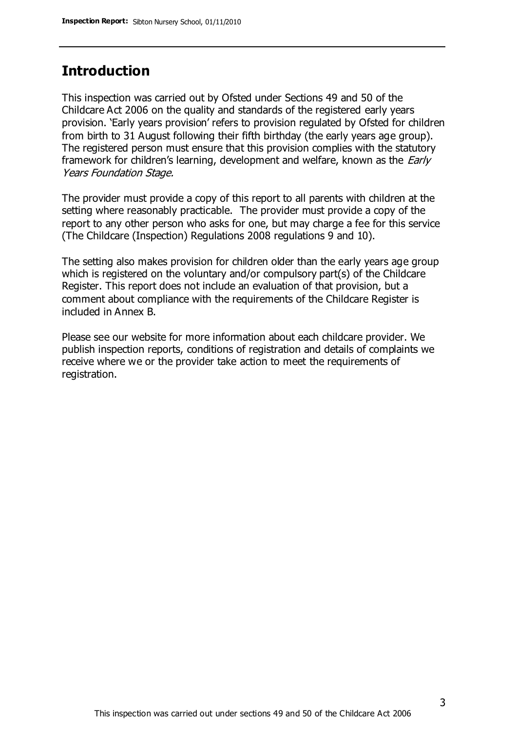## **Introduction**

This inspection was carried out by Ofsted under Sections 49 and 50 of the Childcare Act 2006 on the quality and standards of the registered early years provision. 'Early years provision' refers to provision regulated by Ofsted for children from birth to 31 August following their fifth birthday (the early years age group). The registered person must ensure that this provision complies with the statutory framework for children's learning, development and welfare, known as the *Early* Years Foundation Stage.

The provider must provide a copy of this report to all parents with children at the setting where reasonably practicable. The provider must provide a copy of the report to any other person who asks for one, but may charge a fee for this service (The Childcare (Inspection) Regulations 2008 regulations 9 and 10).

The setting also makes provision for children older than the early years age group which is registered on the voluntary and/or compulsory part(s) of the Childcare Register. This report does not include an evaluation of that provision, but a comment about compliance with the requirements of the Childcare Register is included in Annex B.

Please see our website for more information about each childcare provider. We publish inspection reports, conditions of registration and details of complaints we receive where we or the provider take action to meet the requirements of registration.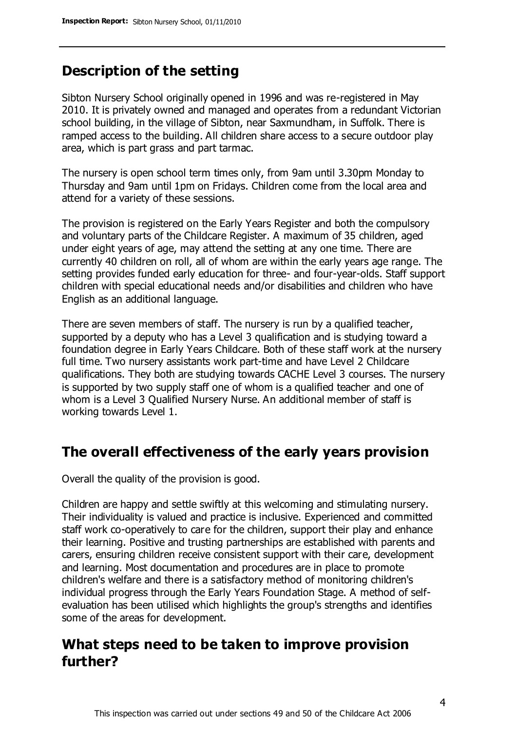# **Description of the setting**

Sibton Nursery School originally opened in 1996 and was re-registered in May 2010. It is privately owned and managed and operates from a redundant Victorian school building, in the village of Sibton, near Saxmundham, in Suffolk. There is ramped access to the building. All children share access to a secure outdoor play area, which is part grass and part tarmac.

The nursery is open school term times only, from 9am until 3.30pm Monday to Thursday and 9am until 1pm on Fridays. Children come from the local area and attend for a variety of these sessions.

The provision is registered on the Early Years Register and both the compulsory and voluntary parts of the Childcare Register. A maximum of 35 children, aged under eight years of age, may attend the setting at any one time. There are currently 40 children on roll, all of whom are within the early years age range. The setting provides funded early education for three- and four-year-olds. Staff support children with special educational needs and/or disabilities and children who have English as an additional language.

There are seven members of staff. The nursery is run by a qualified teacher, supported by a deputy who has a Level 3 qualification and is studying toward a foundation degree in Early Years Childcare. Both of these staff work at the nursery full time. Two nursery assistants work part-time and have Level 2 Childcare qualifications. They both are studying towards CACHE Level 3 courses. The nursery is supported by two supply staff one of whom is a qualified teacher and one of whom is a Level 3 Qualified Nursery Nurse. An additional member of staff is working towards Level 1.

# **The overall effectiveness of the early years provision**

Overall the quality of the provision is good.

Children are happy and settle swiftly at this welcoming and stimulating nursery. Their individuality is valued and practice is inclusive. Experienced and committed staff work co-operatively to care for the children, support their play and enhance their learning. Positive and trusting partnerships are established with parents and carers, ensuring children receive consistent support with their care, development and learning. Most documentation and procedures are in place to promote children's welfare and there is a satisfactory method of monitoring children's individual progress through the Early Years Foundation Stage. A method of selfevaluation has been utilised which highlights the group's strengths and identifies some of the areas for development.

## **What steps need to be taken to improve provision further?**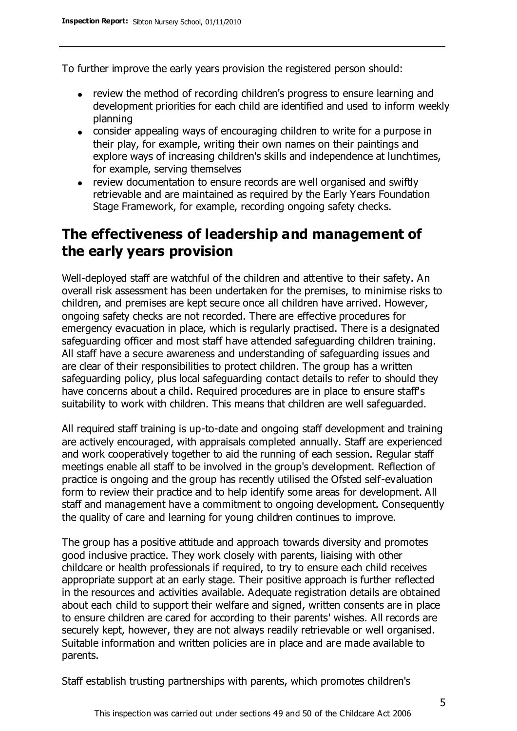To further improve the early years provision the registered person should:

- review the method of recording children's progress to ensure learning and development priorities for each child are identified and used to inform weekly planning
- consider appealing ways of encouraging children to write for a purpose in their play, for example, writing their own names on their paintings and explore ways of increasing children's skills and independence at lunchtimes, for example, serving themselves
- review documentation to ensure records are well organised and swiftly retrievable and are maintained as required by the Early Years Foundation Stage Framework, for example, recording ongoing safety checks.

# **The effectiveness of leadership and management of the early years provision**

Well-deployed staff are watchful of the children and attentive to their safety. An overall risk assessment has been undertaken for the premises, to minimise risks to children, and premises are kept secure once all children have arrived. However, ongoing safety checks are not recorded. There are effective procedures for emergency evacuation in place, which is regularly practised. There is a designated safeguarding officer and most staff have attended safeguarding children training. All staff have a secure awareness and understanding of safeguarding issues and are clear of their responsibilities to protect children. The group has a written safeguarding policy, plus local safeguarding contact details to refer to should they have concerns about a child. Required procedures are in place to ensure staff's suitability to work with children. This means that children are well safeguarded.

All required staff training is up-to-date and ongoing staff development and training are actively encouraged, with appraisals completed annually. Staff are experienced and work cooperatively together to aid the running of each session. Regular staff meetings enable all staff to be involved in the group's development. Reflection of practice is ongoing and the group has recently utilised the Ofsted self-evaluation form to review their practice and to help identify some areas for development. All staff and management have a commitment to ongoing development. Consequently the quality of care and learning for young children continues to improve.

The group has a positive attitude and approach towards diversity and promotes good inclusive practice. They work closely with parents, liaising with other childcare or health professionals if required, to try to ensure each child receives appropriate support at an early stage. Their positive approach is further reflected in the resources and activities available. Adequate registration details are obtained about each child to support their welfare and signed, written consents are in place to ensure children are cared for according to their parents' wishes. All records are securely kept, however, they are not always readily retrievable or well organised. Suitable information and written policies are in place and are made available to parents.

Staff establish trusting partnerships with parents, which promotes children's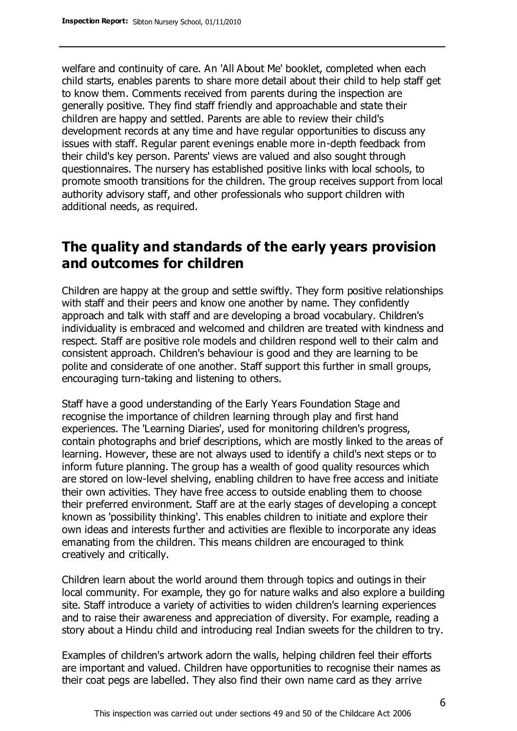welfare and continuity of care. An 'All About Me' booklet, completed when each child starts, enables parents to share more detail about their child to help staff get to know them. Comments received from parents during the inspection are generally positive. They find staff friendly and approachable and state their children are happy and settled. Parents are able to review their child's development records at any time and have regular opportunities to discuss any issues with staff. Regular parent evenings enable more in-depth feedback from their child's key person. Parents' views are valued and also sought through questionnaires. The nursery has established positive links with local schools, to promote smooth transitions for the children. The group receives support from local authority advisory staff, and other professionals who support children with additional needs, as required.

# **The quality and standards of the early years provision and outcomes for children**

Children are happy at the group and settle swiftly. They form positive relationships with staff and their peers and know one another by name. They confidently approach and talk with staff and are developing a broad vocabulary. Children's individuality is embraced and welcomed and children are treated with kindness and respect. Staff are positive role models and children respond well to their calm and consistent approach. Children's behaviour is good and they are learning to be polite and considerate of one another. Staff support this further in small groups, encouraging turn-taking and listening to others.

Staff have a good understanding of the Early Years Foundation Stage and recognise the importance of children learning through play and first hand experiences. The 'Learning Diaries', used for monitoring children's progress, contain photographs and brief descriptions, which are mostly linked to the areas of learning. However, these are not always used to identify a child's next steps or to inform future planning. The group has a wealth of good quality resources which are stored on low-level shelving, enabling children to have free access and initiate their own activities. They have free access to outside enabling them to choose their preferred environment. Staff are at the early stages of developing a concept known as 'possibility thinking'. This enables children to initiate and explore their own ideas and interests further and activities are flexible to incorporate any ideas emanating from the children. This means children are encouraged to think creatively and critically.

Children learn about the world around them through topics and outings in their local community. For example, they go for nature walks and also explore a building site. Staff introduce a variety of activities to widen children's learning experiences and to raise their awareness and appreciation of diversity. For example, reading a story about a Hindu child and introducing real Indian sweets for the children to try.

Examples of children's artwork adorn the walls, helping children feel their efforts are important and valued. Children have opportunities to recognise their names as their coat pegs are labelled. They also find their own name card as they arrive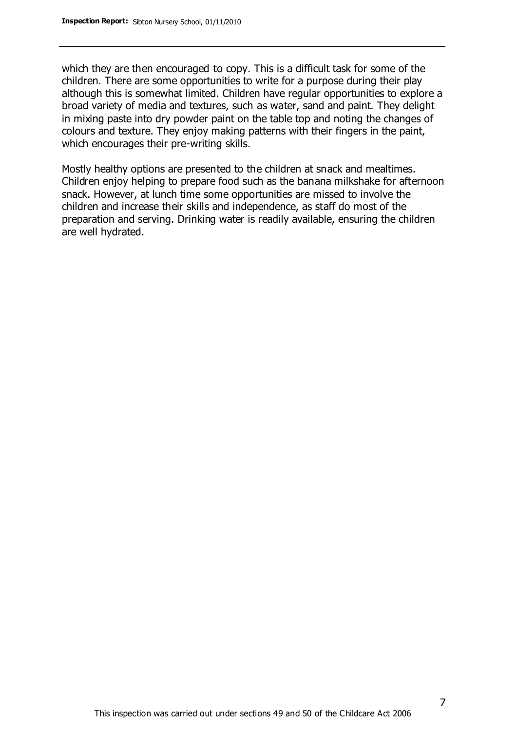which they are then encouraged to copy. This is a difficult task for some of the children. There are some opportunities to write for a purpose during their play although this is somewhat limited. Children have regular opportunities to explore a broad variety of media and textures, such as water, sand and paint. They delight in mixing paste into dry powder paint on the table top and noting the changes of colours and texture. They enjoy making patterns with their fingers in the paint, which encourages their pre-writing skills.

Mostly healthy options are presented to the children at snack and mealtimes. Children enjoy helping to prepare food such as the banana milkshake for afternoon snack. However, at lunch time some opportunities are missed to involve the children and increase their skills and independence, as staff do most of the preparation and serving. Drinking water is readily available, ensuring the children are well hydrated.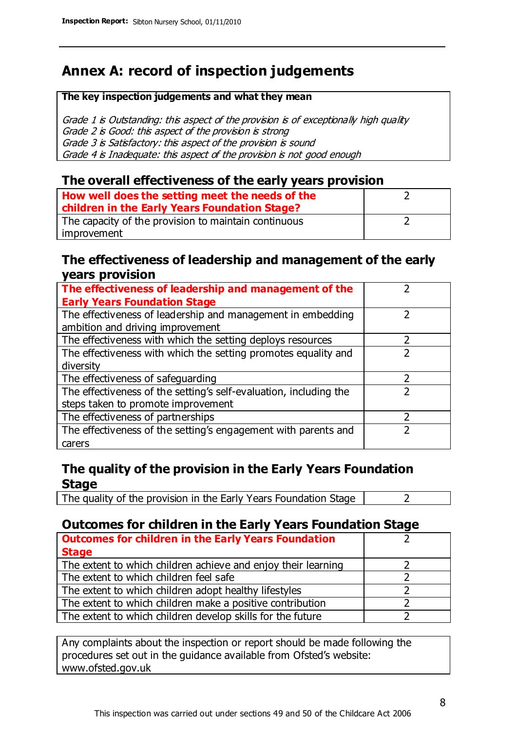# **Annex A: record of inspection judgements**

#### **The key inspection judgements and what they mean**

Grade 1 is Outstanding: this aspect of the provision is of exceptionally high quality Grade 2 is Good: this aspect of the provision is strong Grade 3 is Satisfactory: this aspect of the provision is sound Grade 4 is Inadequate: this aspect of the provision is not good enough

### **The overall effectiveness of the early years provision**

| How well does the setting meet the needs of the<br>children in the Early Years Foundation Stage? |  |
|--------------------------------------------------------------------------------------------------|--|
| The capacity of the provision to maintain continuous                                             |  |
| improvement                                                                                      |  |

### **The effectiveness of leadership and management of the early years provision**

| The effectiveness of leadership and management of the             |  |
|-------------------------------------------------------------------|--|
| <b>Early Years Foundation Stage</b>                               |  |
| The effectiveness of leadership and management in embedding       |  |
| ambition and driving improvement                                  |  |
| The effectiveness with which the setting deploys resources        |  |
| The effectiveness with which the setting promotes equality and    |  |
| diversity                                                         |  |
| The effectiveness of safeguarding                                 |  |
| The effectiveness of the setting's self-evaluation, including the |  |
| steps taken to promote improvement                                |  |
| The effectiveness of partnerships                                 |  |
| The effectiveness of the setting's engagement with parents and    |  |
| carers                                                            |  |

## **The quality of the provision in the Early Years Foundation Stage**

The quality of the provision in the Early Years Foundation Stage  $\vert$  2

## **Outcomes for children in the Early Years Foundation Stage**

| <b>Outcomes for children in the Early Years Foundation</b>    |  |
|---------------------------------------------------------------|--|
| <b>Stage</b>                                                  |  |
| The extent to which children achieve and enjoy their learning |  |
| The extent to which children feel safe                        |  |
| The extent to which children adopt healthy lifestyles         |  |
| The extent to which children make a positive contribution     |  |
| The extent to which children develop skills for the future    |  |

Any complaints about the inspection or report should be made following the procedures set out in the guidance available from Ofsted's website: www.ofsted.gov.uk